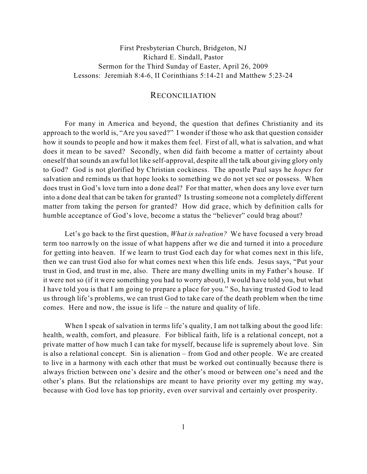First Presbyterian Church, Bridgeton, NJ Richard E. Sindall, Pastor Sermon for the Third Sunday of Easter, April 26, 2009 Lessons: Jeremiah 8:4-6, II Corinthians 5:14-21 and Matthew 5:23-24

## RECONCILIATION

For many in America and beyond, the question that defines Christianity and its approach to the world is, "Are you saved?" I wonder if those who ask that question consider how it sounds to people and how it makes them feel. First of all, what is salvation, and what does it mean to be saved? Secondly, when did faith become a matter of certainty about oneself that sounds an awful lot like self-approval, despite all the talk about giving glory only to God? God is not glorified by Christian cockiness. The apostle Paul says he *hopes* for salvation and reminds us that hope looks to something we do not yet see or possess. When does trust in God's love turn into a done deal? For that matter, when does any love ever turn into a done deal that can be taken for granted? Is trusting someone not a completely different matter from taking the person for granted? How did grace, which by definition calls for humble acceptance of God's love, become a status the "believer" could brag about?

Let's go back to the first question, *What is salvation?* We have focused a very broad term too narrowly on the issue of what happens after we die and turned it into a procedure for getting into heaven. If we learn to trust God each day for what comes next in this life, then we can trust God also for what comes next when this life ends. Jesus says, "Put your trust in God, and trust in me, also. There are many dwelling units in my Father's house. If it were not so (if it were something you had to worry about), I would have told you, but what I have told you is that I am going to prepare a place for you." So, having trusted God to lead us through life's problems, we can trust God to take care of the death problem when the time comes. Here and now, the issue is life – the nature and quality of life.

When I speak of salvation in terms life's quality, I am not talking about the good life: health, wealth, comfort, and pleasure. For biblical faith, life is a relational concept, not a private matter of how much I can take for myself, because life is supremely about love. Sin is also a relational concept. Sin is alienation – from God and other people. We are created to live in a harmony with each other that must be worked out continually because there is always friction between one's desire and the other's mood or between one's need and the other's plans. But the relationships are meant to have priority over my getting my way, because with God love has top priority, even over survival and certainly over prosperity.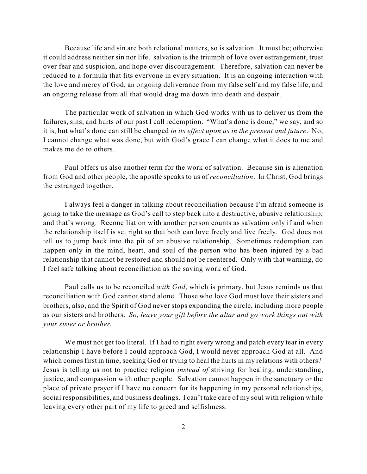Because life and sin are both relational matters, so is salvation. It must be; otherwise it could address neither sin nor life. salvation is the triumph of love over estrangement, trust over fear and suspicion, and hope over discouragement. Therefore, salvation can never be reduced to a formula that fits everyone in every situation. It is an ongoing interaction with the love and mercy of God, an ongoing deliverance from my false self and my false life, and an ongoing release from all that would drag me down into death and despair.

The particular work of salvation in which God works with us to deliver us from the failures, sins, and hurts of our past I call redemption. "What's done is done," we say, and so it is, but what's done can still be changed *in its effect upon us in the present and future*. No, I cannot change what was done, but with God's grace I can change what it does to me and makes me do to others.

Paul offers us also another term for the work of salvation. Because sin is alienation from God and other people, the apostle speaks to us of *reconciliation*. In Christ, God brings the estranged together.

I always feel a danger in talking about reconciliation because I'm afraid someone is going to take the message as God's call to step back into a destructive, abusive relationship, and that's wrong. Reconciliation with another person counts as salvation only if and when the relationship itself is set right so that both can love freely and live freely. God does not tell us to jump back into the pit of an abusive relationship. Sometimes redemption can happen only in the mind, heart, and soul of the person who has been injured by a bad relationship that cannot be restored and should not be reentered. Only with that warning, do I feel safe talking about reconciliation as the saving work of God.

Paul calls us to be reconciled *with God*, which is primary, but Jesus reminds us that reconciliation with God cannot stand alone. Those who love God must love their sisters and brothers, also, and the Spirit of God never stops expanding the circle, including more people as our sisters and brothers. *So, leave your gift before the altar and go work things out with your sister or brother.*

We must not get too literal. If I had to right every wrong and patch every tear in every relationship I have before I could approach God, I would never approach God at all. And which comes first in time, seeking God or trying to heal the hurts in my relations with others? Jesus is telling us not to practice religion *instead of* striving for healing, understanding, justice, and compassion with other people. Salvation cannot happen in the sanctuary or the place of private prayer if I have no concern for its happening in my personal relationships, social responsibilities, and business dealings. I can't take care of my soul with religion while leaving every other part of my life to greed and selfishness.